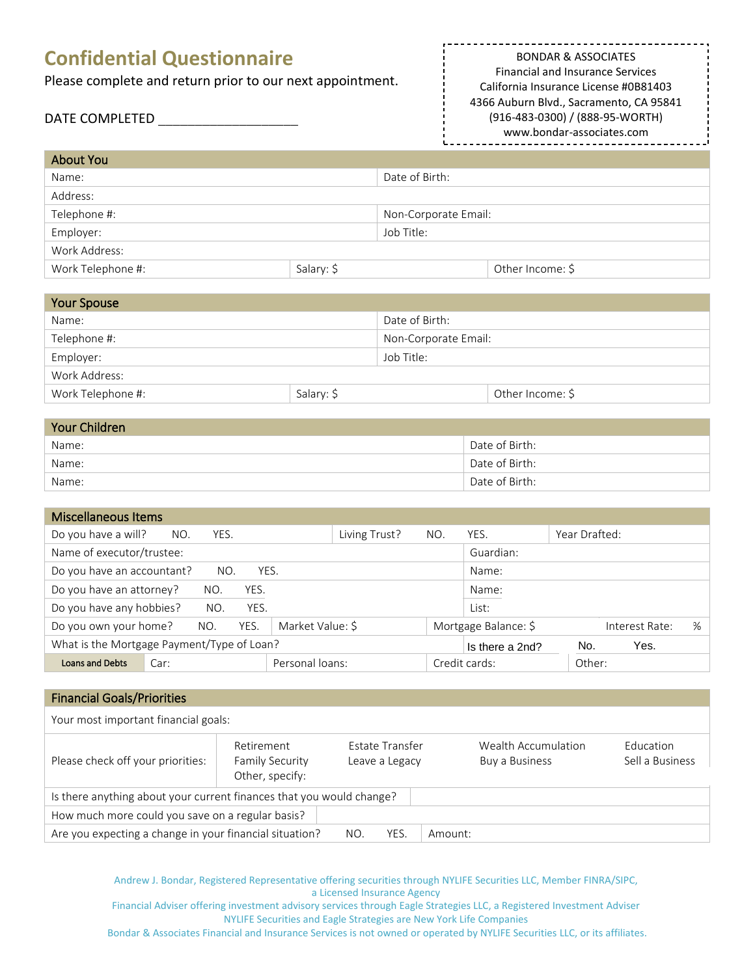## **Confidential Questionnaire**

Please complete and return prior to our next appointment.

## DATE COMPLETED **EXAMPLE COMPLETED**

| <b>BONDAR &amp; ASSOCIATES</b>          |
|-----------------------------------------|
| <b>Financial and Insurance Services</b> |
| California Insurance License #0B81403   |
| 4366 Auburn Blvd., Sacramento, CA 95841 |
| (916-483-0300) / (888-95-WORTH)         |
| www.bondar-associates.com               |
|                                         |

\_\_\_\_\_\_\_\_\_\_\_\_

| <b>About You</b>  |            |                      |                  |  |  |  |
|-------------------|------------|----------------------|------------------|--|--|--|
| Name:             |            | Date of Birth:       |                  |  |  |  |
| Address:          |            |                      |                  |  |  |  |
| Telephone #:      |            | Non-Corporate Email: |                  |  |  |  |
| Employer:         |            | Job Title:           |                  |  |  |  |
| Work Address:     |            |                      |                  |  |  |  |
| Work Telephone #: | Salary: \$ |                      | Other Income: \$ |  |  |  |

| <b>Your Spouse</b> |            |                      |  |  |
|--------------------|------------|----------------------|--|--|
| Name:              |            | Date of Birth:       |  |  |
| Telephone #:       |            | Non-Corporate Email: |  |  |
| Employer:          |            | Job Title:           |  |  |
| Work Address:      |            |                      |  |  |
| Work Telephone #:  | Salary: \$ | Other Income: \$     |  |  |

| <b>Your Children</b> |                |
|----------------------|----------------|
| Name:                | Date of Birth: |
| Name:                | Date of Birth: |
| Name:                | Date of Birth: |

| Miscellaneous Items                        |      |      |      |                  |               |                 |                      |               |                |   |
|--------------------------------------------|------|------|------|------------------|---------------|-----------------|----------------------|---------------|----------------|---|
| Do you have a will?                        | NO.  | YES. |      |                  | Living Trust? | NO.             | YES.                 | Year Drafted: |                |   |
| Name of executor/trustee:                  |      |      |      |                  |               |                 | Guardian:            |               |                |   |
| Do you have an accountant?                 |      | NO.  | YES. |                  |               |                 | Name:                |               |                |   |
| Do you have an attorney?                   |      | NO.  | YES. |                  |               |                 | Name:                |               |                |   |
| Do you have any hobbies?                   |      | NO.  | YES. |                  |               |                 | List:                |               |                |   |
| Do you own your home?                      |      | NO.  | YES. | Market Value: \$ |               |                 | Mortgage Balance: \$ |               | Interest Rate: | ℅ |
| What is the Mortgage Payment/Type of Loan? |      |      |      |                  |               | Is there a 2nd? | No.                  | Yes.          |                |   |
| <b>Loans and Debts</b>                     | Car: |      |      | Personal loans:  |               |                 | Credit cards:        | Other:        |                |   |

| <b>Financial Goals/Priorities</b>                                    |                                                         |                                   |      |         |                                              |                              |  |
|----------------------------------------------------------------------|---------------------------------------------------------|-----------------------------------|------|---------|----------------------------------------------|------------------------------|--|
| Your most important financial goals:                                 |                                                         |                                   |      |         |                                              |                              |  |
| Please check off your priorities:                                    | Retirement<br><b>Family Security</b><br>Other, specify: | Estate Transfer<br>Leave a Legacy |      |         | Wealth Accumulation<br><b>Buy a Business</b> | Education<br>Sell a Business |  |
| Is there anything about your current finances that you would change? |                                                         |                                   |      |         |                                              |                              |  |
| How much more could you save on a regular basis?                     |                                                         |                                   |      |         |                                              |                              |  |
| Are you expecting a change in your financial situation?              |                                                         | NO.                               | YES. | Amount: |                                              |                              |  |

Andrew J. Bondar, Registered Representative offering securities through NYLIFE Securities LLC, Member FINRA/SIPC, a Licensed Insurance Agency

Financial Adviser offering investment advisory services through Eagle Strategies LLC, a Registered Investment Adviser NYLIFE Securities and Eagle Strategies are New York Life Companies

Bondar & Associates Financial and Insurance Services is not owned or operated by NYLIFE Securities LLC, or its affiliates.